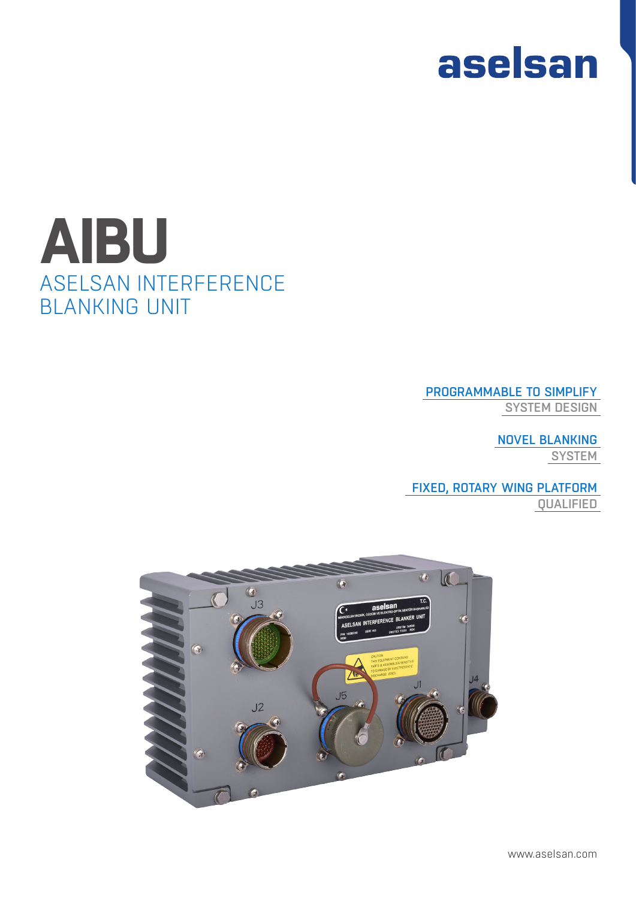# aselsan

## ASELSAN INTERFERENCE BLANKING UNIT **AIBU**

### PROGRAMMABLE TO SIMPLIFY

SYSTEM DESIGN

NOVEL BLANKING **SYSTEM** 

## FIXED, ROTARY WING PLATFORM

QUALIFIED